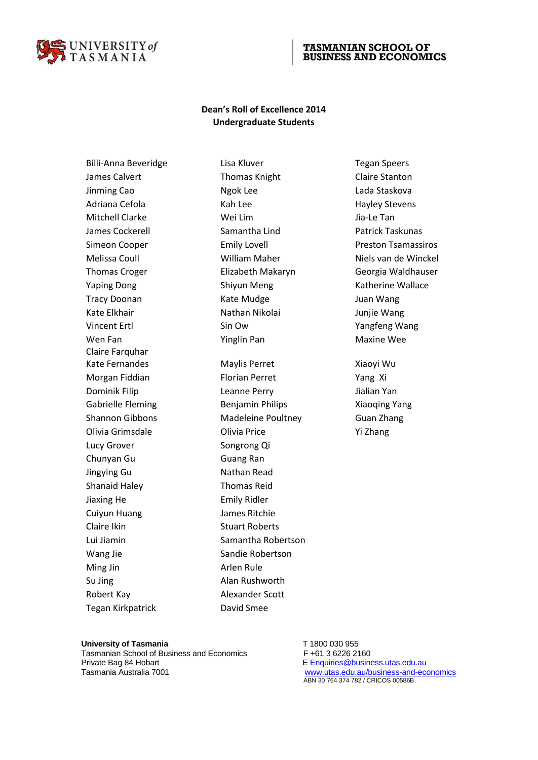

## **TASMANIAN SCHOOL OF BUSINESS AND ECONOMICS**

## **Dean's Roll of Excellence 2014 Undergraduate Students**

Billi-Anna Beveridge Tegan Speers Lisa Kluver Tegan Speers James Calvert **Thomas Knight** Claire Stanton Jinming Cao **Ngok Lee Ngok Lee** Lada Staskova Adriana Cefola **Kah Lee Kah Lee** Hayley Stevens Mitchell Clarke **Wei Lim** Wei Lim Jia-Le Tan James Cockerell Samantha Lind Patrick Taskunas Yaping Dong Shiyun Meng Katherine Wallace Shiyun Meng Katherine Wallace Tracy Doonan **Kate Mudge** Juan Wang Kate Elkhair Nathan Nikolai Mathan Nikolai kate Elkhair Wang Vincent Ertl Sin Ow Sin Ow Yangfeng Wang Wen Fan Yinglin Pan Maxine Wee Claire Farquhar Lucy Grover Songrong Qi Chunyan Gu<br>
Guang Ran Jingying Gu **Nathan Read** Shanaid Haley Thomas Reid Jiaxing He **Emily Ridler** Cuiyun Huang James Ritchie Claire Ikin Stuart Roberts Wang Jie Sandie Robertson Ming Jin **Arlen Rule** Su Jing **Alan Rushworth** Robert Kay **Alexander Scott** Tegan Kirkpatrick David Smee

Kate Fernandes Maylis Perret The Changles Maylis Perret Morgan Fiddian Findian Ferret Thomas School and Thomas School and Thomas School and Thomas School and Thomas S Dominik Filip Leanne Perry Jialian Yan Gabrielle Fleming **Benjamin Philips** Xiaoqing Yang Shannon Gibbons Madeleine Poultney Guan Zhang Olivia Grimsdale Olivia Price Yi Zhang Lui Jiamin Samantha Robertson

Simeon Cooper **Emily Lovell** Preston Tsamassiros Melissa Coull **Niels van de William Maher** Niels van de Winckel Thomas Croger Elizabeth Makaryn Georgia Waldhauser

University of Tasmania **T** 1800 030 955

Tasmanian School of Business and Economics F +61 3 6226 2160 Private Bag 84 Hobart **E** [Enquiries@business.utas.edu.au](mailto:AcademicSupport.TSBE@utas.edu.au) Tasmania Australia 7001 [www.utas.edu.au/business-and-economics](http://www.utas.edu.au/business-and-economics)

ABN 30 764 374 782 / CRICOS 00586B